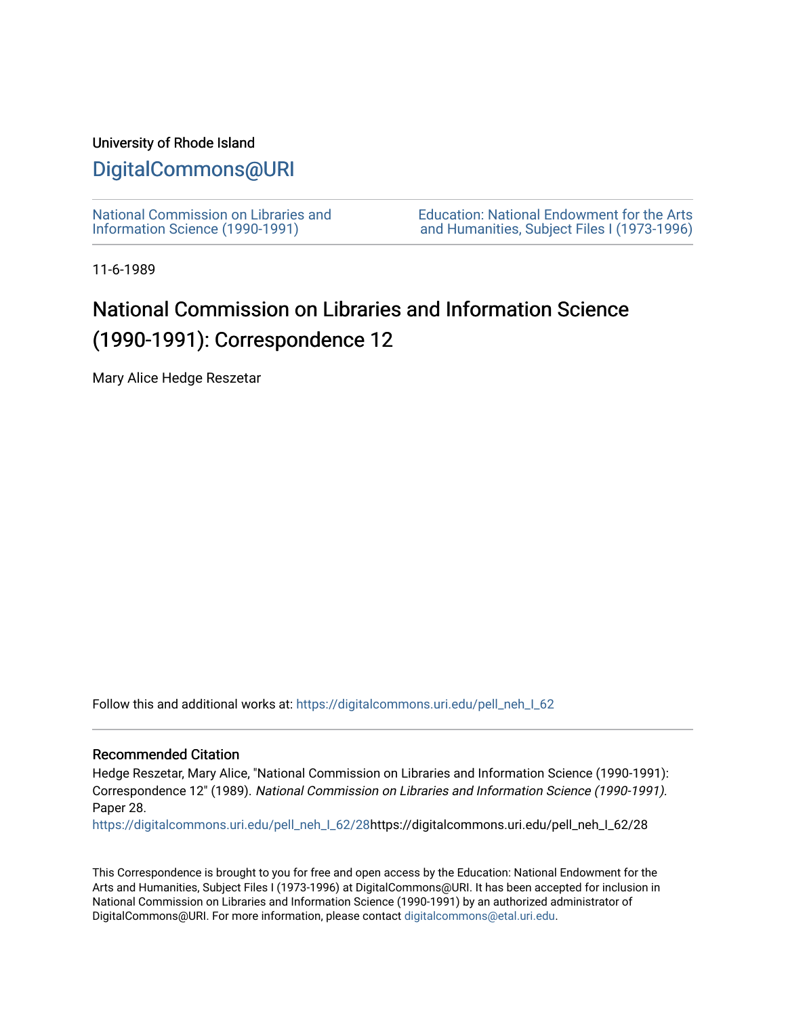### University of Rhode Island

## [DigitalCommons@URI](https://digitalcommons.uri.edu/)

[National Commission on Libraries and](https://digitalcommons.uri.edu/pell_neh_I_62) [Information Science \(1990-1991\)](https://digitalcommons.uri.edu/pell_neh_I_62) 

[Education: National Endowment for the Arts](https://digitalcommons.uri.edu/pell_neh_I)  [and Humanities, Subject Files I \(1973-1996\)](https://digitalcommons.uri.edu/pell_neh_I) 

11-6-1989

# National Commission on Libraries and Information Science (1990-1991): Correspondence 12

Mary Alice Hedge Reszetar

Follow this and additional works at: [https://digitalcommons.uri.edu/pell\\_neh\\_I\\_62](https://digitalcommons.uri.edu/pell_neh_I_62?utm_source=digitalcommons.uri.edu%2Fpell_neh_I_62%2F28&utm_medium=PDF&utm_campaign=PDFCoverPages) 

#### Recommended Citation

Hedge Reszetar, Mary Alice, "National Commission on Libraries and Information Science (1990-1991): Correspondence 12" (1989). National Commission on Libraries and Information Science (1990-1991). Paper 28.

[https://digitalcommons.uri.edu/pell\\_neh\\_I\\_62/28h](https://digitalcommons.uri.edu/pell_neh_I_62/28?utm_source=digitalcommons.uri.edu%2Fpell_neh_I_62%2F28&utm_medium=PDF&utm_campaign=PDFCoverPages)ttps://digitalcommons.uri.edu/pell\_neh\_I\_62/28

This Correspondence is brought to you for free and open access by the Education: National Endowment for the Arts and Humanities, Subject Files I (1973-1996) at DigitalCommons@URI. It has been accepted for inclusion in National Commission on Libraries and Information Science (1990-1991) by an authorized administrator of DigitalCommons@URI. For more information, please contact [digitalcommons@etal.uri.edu.](mailto:digitalcommons@etal.uri.edu)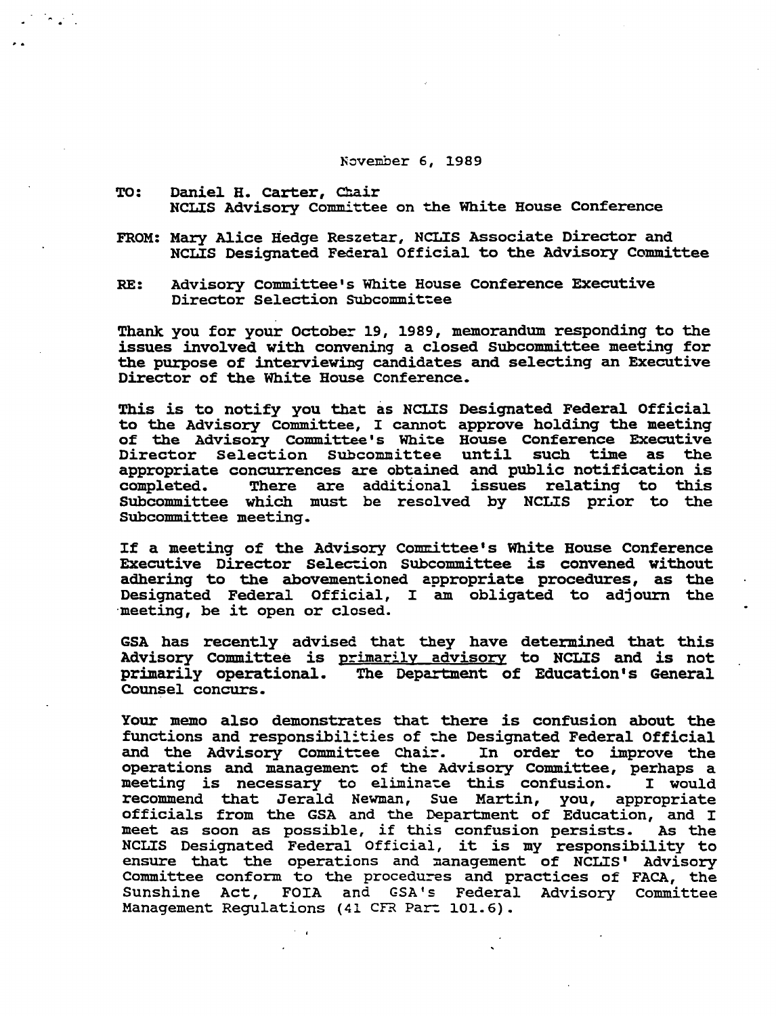### November 6, 1989

- TO: Daniel H. Carter, Chair NCLIS Advisory Committee on the White House Conference
- FROM: Mary Alice Hedge Reszetar, NCLIS Associate Director and NCLIS Designated Federal Official to the Advisory Committee
- RE: Advisory Committee's White House Conference Executive Director Selection Subcommittee

Thank you for your October 19, 1989, memorandum responding to the issues involved with convening a closed Subcommittee meeting for the purpose of interviewing candidates and selecting an Executive Director of the White House conference.

This is to notify you that as NCI.IS Designated Federal Official to the Advisory committee, I cannot approve holding the meeting of the Advisory Committee's White House Conference Executive<br>Director Selection Subcommittee until such time as the Director Selection Subcommittee until such time as appropriate concurrences are obtained and public notification is There are additional issues relating to this Subcommittee which must be resolved by NCLIS prior to the Subcommittee meeting.

If a meeting of the Advisory Committee's White House Conference Executive Director Selection Subcommittee is convened without adhering to the abovementioned appropriate procedures, as the Designated Federal Official, I am obligated to adjourn the ·meeting, be it open or closed.

GSA has recently advised that they have determined that this Advisory Committee is <u>primarily advisory</u> to NCLIS and is not<br>primarily operational. The Department of Education's General The Department of Education's General Counsel concurs.

Your memo also demonstrates that there is confusion about the functions and responsibilities of the Designated Federal Official<br>and the Advisory Committee Chair. In order to improve the and the Advisory Committee Chair. operations and management: of the Advisory Committee, perhaps a meeting is necessary to eliminate this confusion. I would recommend that Jerald Newman, sue Martin, you, appropriate officials from the GSA and the Department of Education, and I meet as soon as possible, if this confusion persists. As the meet as soon as possible, it this contusion persists. As the<br>NCLIS Designated Federal Official, it is my responsibility to ensure that the operations and management of NCLIS' Advisory Committee conform to the procedures and practices of FACA, the Sunshine Act, FOIA and GSA's Federal Advisory Committee Management Regulations (41 CFR Part 101.6).